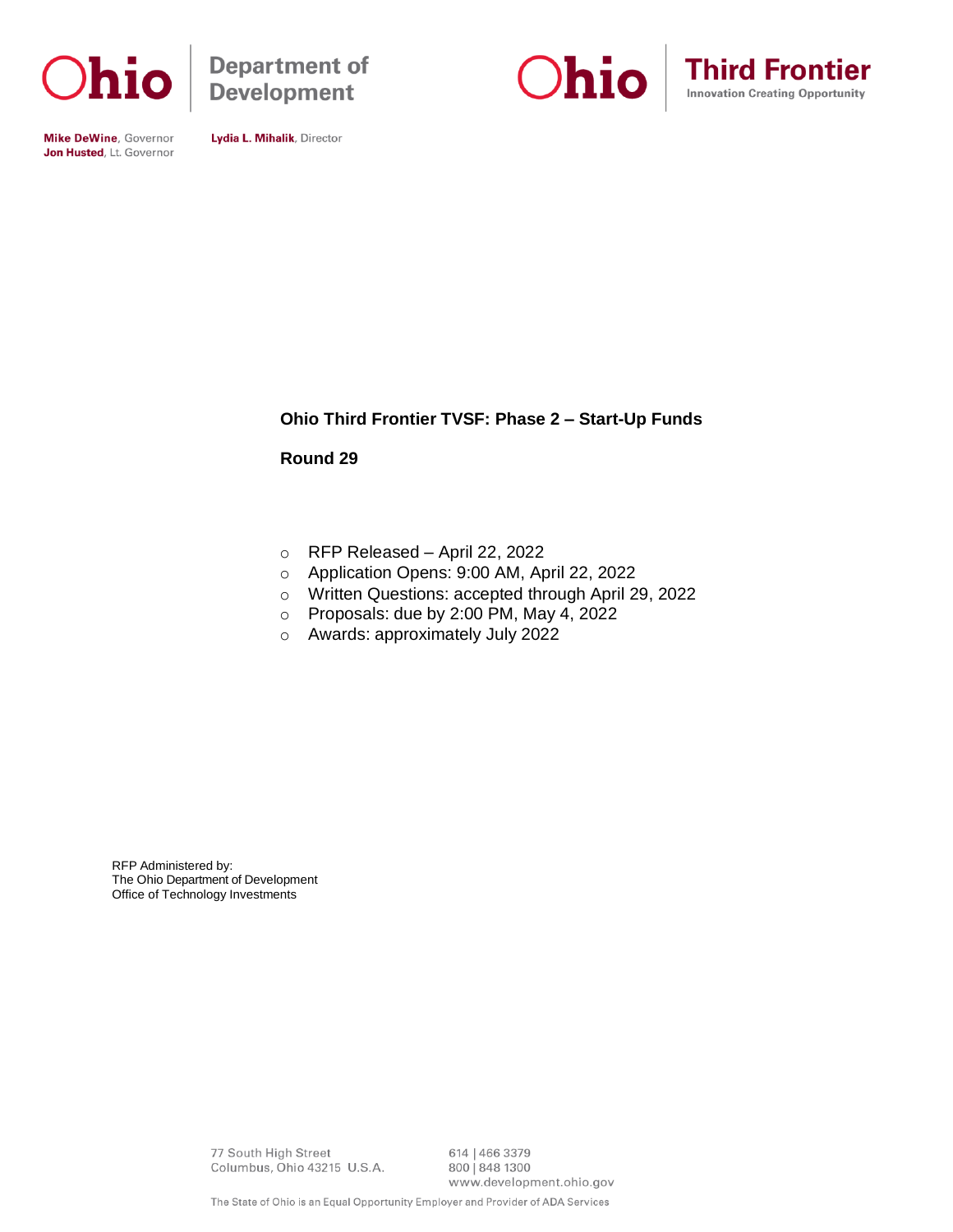

**Department of Development** 





**Mike DeWine, Governor** Jon Husted, Lt. Governor

Lydia L. Mihalik, Director

## **Ohio Third Frontier TVSF: Phase 2 – Start-Up Funds**

**Round 29**

- o RFP Released April 22, 2022
- o Application Opens: 9:00 AM, April 22, 2022
- o Written Questions: accepted through April 29, 2022
- o Proposals: due by 2:00 PM, May 4, 2022
- o Awards: approximately July 2022

RFP Administered by: The Ohio Department of Development Office of Technology Investments

> 77 South High Street Columbus, Ohio 43215 U.S.A.

614 | 466 3379 800 | 848 1300 www.development.ohio.gov

The State of Ohio is an Equal Opportunity Employer and Provider of ADA Services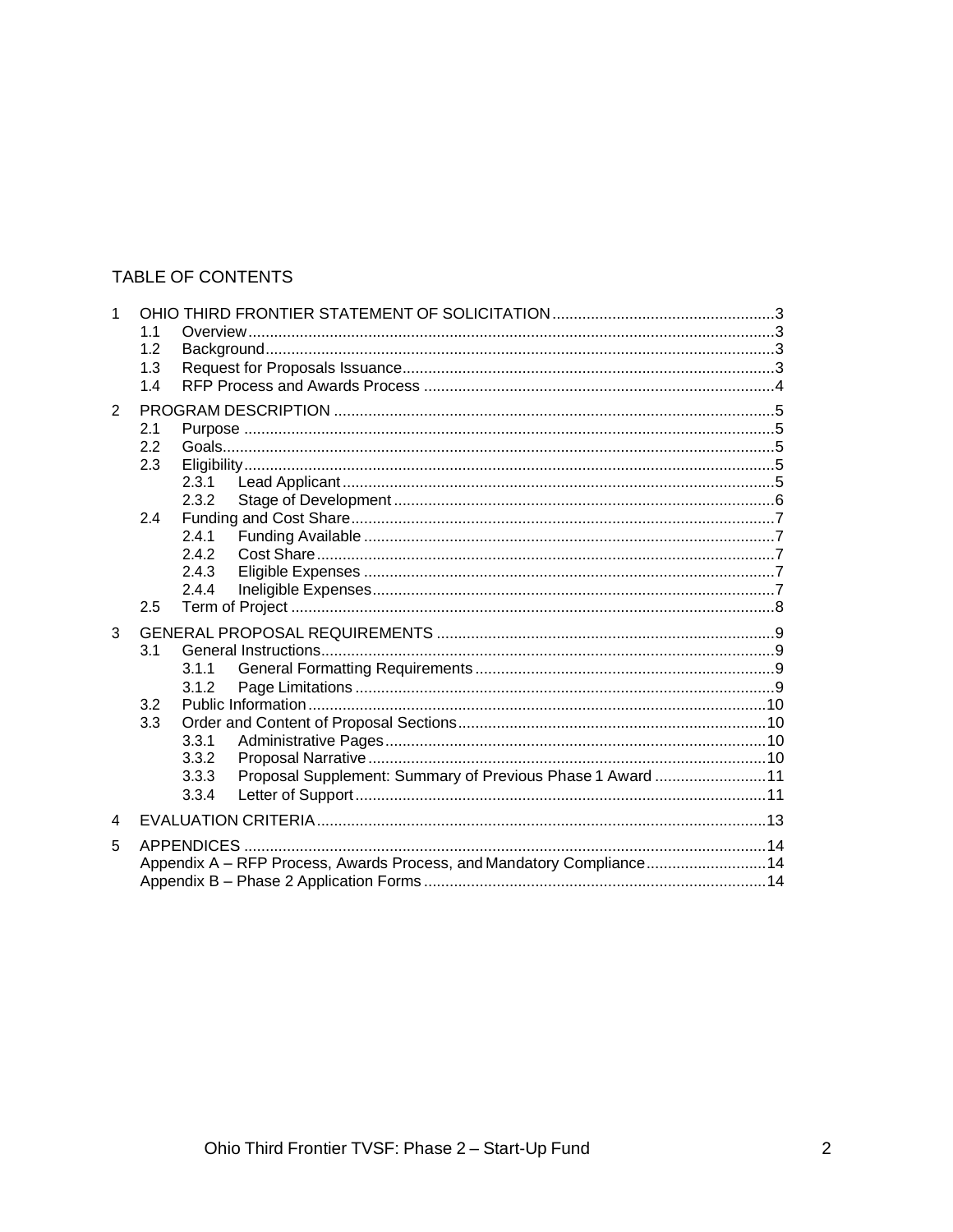## TABLE OF CONTENTS

| 1              |     |                                                                      |  |  |
|----------------|-----|----------------------------------------------------------------------|--|--|
|                | 1.1 |                                                                      |  |  |
|                | 1.2 |                                                                      |  |  |
|                | 1.3 |                                                                      |  |  |
|                | 1.4 |                                                                      |  |  |
| $\overline{2}$ |     |                                                                      |  |  |
|                | 2.1 |                                                                      |  |  |
|                | 2.2 |                                                                      |  |  |
|                | 2.3 |                                                                      |  |  |
|                |     | 2.3.1                                                                |  |  |
|                |     | 2.3.2                                                                |  |  |
|                | 2.4 |                                                                      |  |  |
|                |     | 2.4.1                                                                |  |  |
|                |     | 2.4.2                                                                |  |  |
|                |     | 2.4.3                                                                |  |  |
|                |     | 2.4.4                                                                |  |  |
|                | 2.5 |                                                                      |  |  |
| 3              |     |                                                                      |  |  |
|                | 3.1 |                                                                      |  |  |
|                |     | 3.1.1                                                                |  |  |
|                |     | 3.1.2                                                                |  |  |
|                | 3.2 |                                                                      |  |  |
|                | 3.3 |                                                                      |  |  |
|                |     | 3.3.1                                                                |  |  |
|                |     | 3.3.2                                                                |  |  |
|                |     | Proposal Supplement: Summary of Previous Phase 1 Award 11<br>3.3.3   |  |  |
|                |     | 3.3.4                                                                |  |  |
| 4              |     |                                                                      |  |  |
| 5              |     |                                                                      |  |  |
|                |     | Appendix A - RFP Process, Awards Process, and Mandatory Compliance14 |  |  |
|                |     |                                                                      |  |  |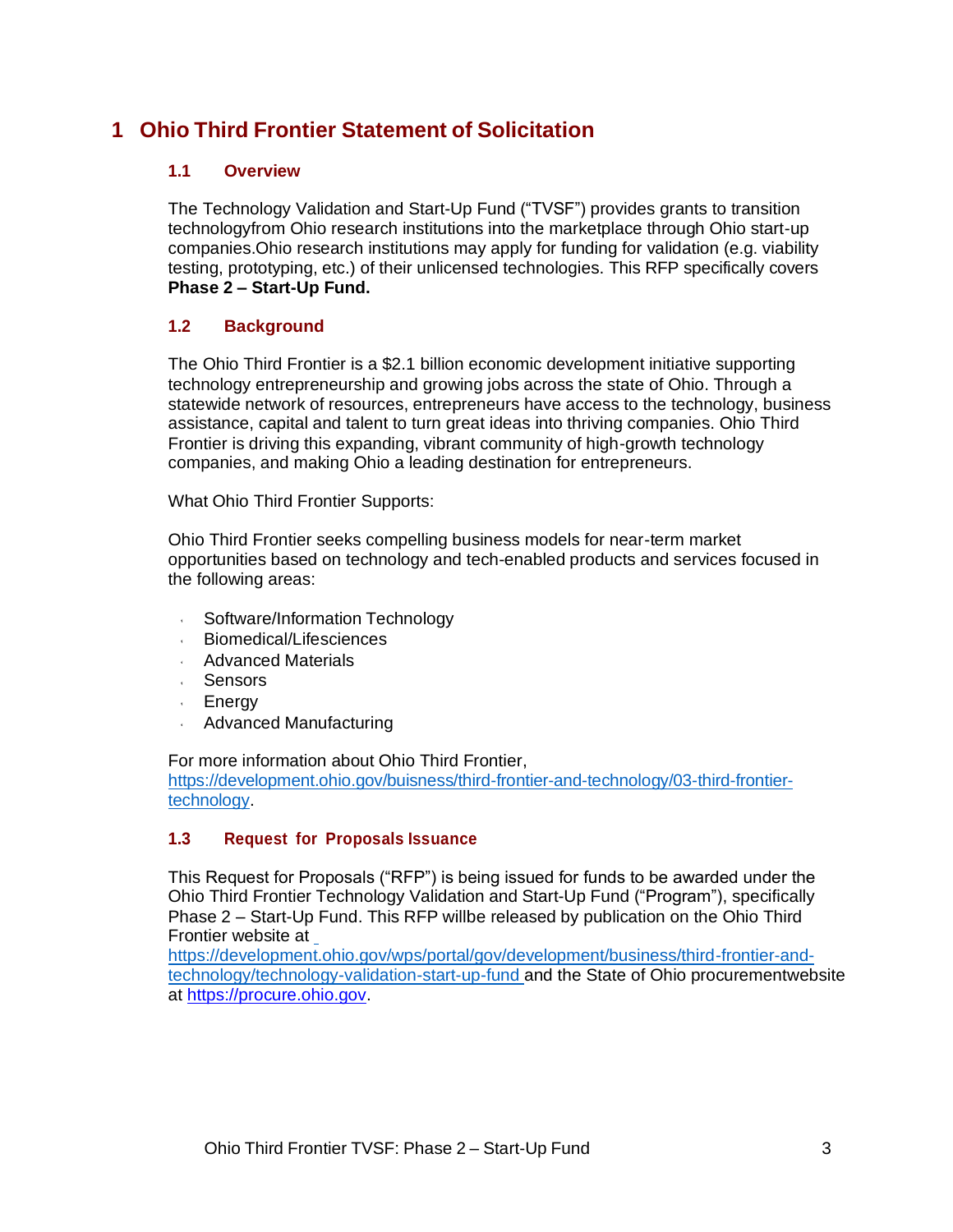# **1 Ohio Third Frontier Statement of Solicitation**

## **1.1 Overview**

The Technology Validation and Start-Up Fund ("TVSF") provides grants to transition technologyfrom Ohio research institutions into the marketplace through Ohio start-up companies.Ohio research institutions may apply for funding for validation (e.g. viability testing, prototyping, etc.) of their unlicensed technologies. This RFP specifically covers **Phase 2 – Start-Up Fund.** 

## **1.2 Background**

The Ohio Third Frontier is a \$2.1 billion economic development initiative supporting technology entrepreneurship and growing jobs across the state of Ohio. Through a statewide network of resources, entrepreneurs have access to the technology, business assistance, capital and talent to turn great ideas into thriving companies. Ohio Third Frontier is driving this expanding, vibrant community of high-growth technology companies, and making Ohio a leading destination for entrepreneurs.

What Ohio Third Frontier Supports:

Ohio Third Frontier seeks compelling business models for near-term market opportunities based on technology and tech-enabled products and services focused in the following areas:

- Software/Information Technology  $\epsilon$  .
- Biomedical/Lifesciences
- **Advanced Materials**
- Sensors
- Energy
- Advanced Manufacturing

For more information about Ohio Third Frontier, [https://development.ohio.gov/buisness/third-frontier-and-technology/03-third-frontier](https://development.ohio.gov/buisness/third-frontier-and-technology/03-third-frontier-technology)[technology.](https://development.ohio.gov/buisness/third-frontier-and-technology/03-third-frontier-technology)

## **1.3 Request for Proposals Issuance**

This Request for Proposals ("RFP") is being issued for funds to be awarded under the Ohio Third Frontier Technology Validation and Start-Up Fund ("Program"), specifically Phase 2 – Start-Up Fund. This RFP [willbe released by publication on the Ohio Third](https://development.ohio.gov/wps/portal/gov/development/business/third-frontier-and-technology/technology-validation-start-up-fund)  Frontier website at

[https://development.ohio.gov/wps/portal/gov/development/business/third-frontier-and](https://development.ohio.gov/wps/portal/gov/development/business/third-frontier-and-technology/technology-validation-start-up-fund)[technology/technology-validation-start-up-fund a](https://development.ohio.gov/wps/portal/gov/development/business/third-frontier-and-technology/technology-validation-start-up-fund)nd the State of Ohio procurementwebsite at https://procure.ohio.gov.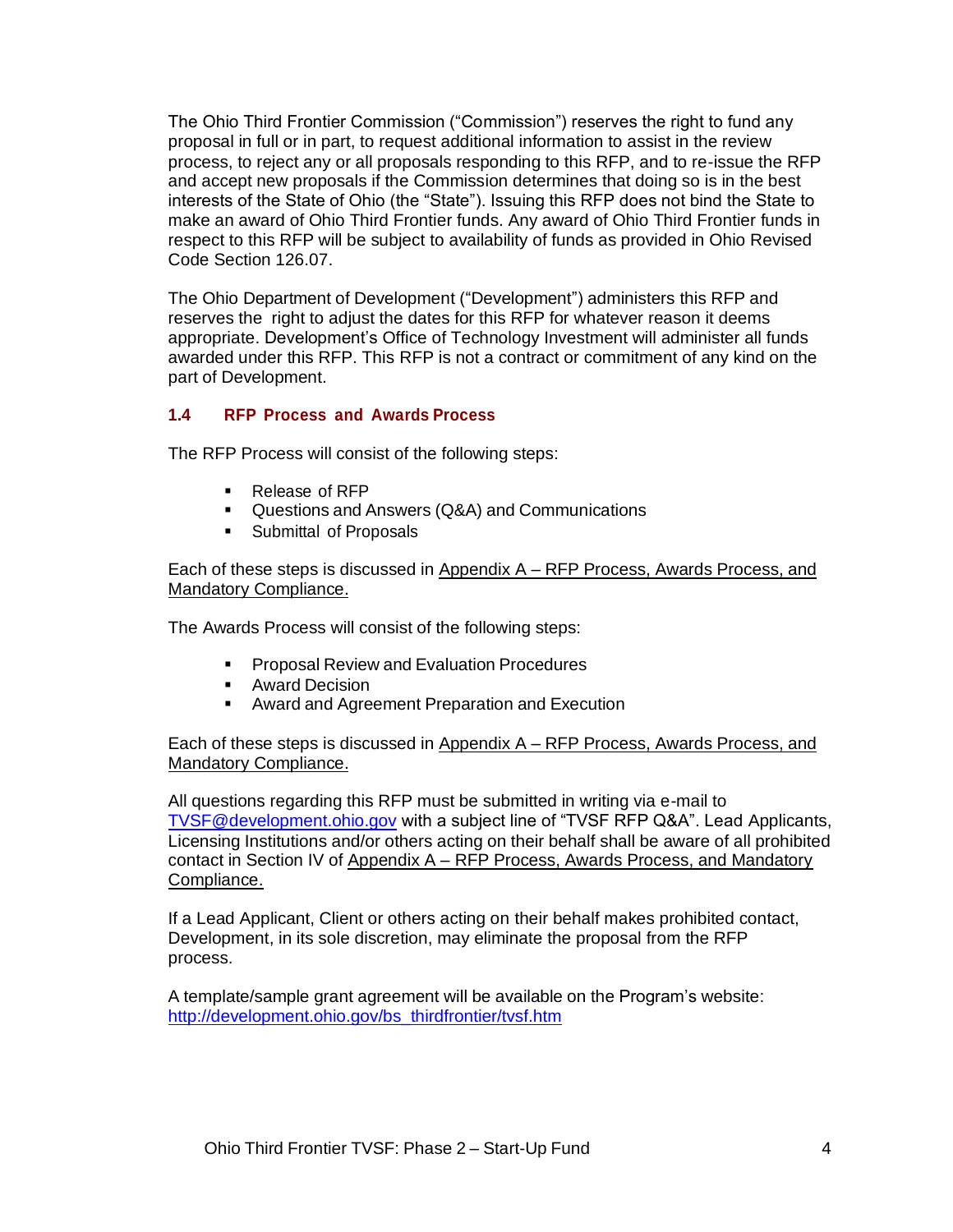The Ohio Third Frontier Commission ("Commission") reserves the right to fund any proposal in full or in part, to request additional information to assist in the review process, to reject any or all proposals responding to this RFP, and to re-issue the RFP and accept new proposals if the Commission determines that doing so is in the best interests of the State of Ohio (the "State"). Issuing this RFP does not bind the State to make an award of Ohio Third Frontier funds. Any award of Ohio Third Frontier funds in respect to this RFP will be subject to availability of funds as provided in Ohio Revised Code Section 126.07.

The Ohio Department of Development ("Development") administers this RFP and reserves the right to adjust the dates for this RFP for whatever reason it deems appropriate. Development's Office of Technology Investment will administer all funds awarded under this RFP. This RFP is not a contract or commitment of any kind on the part of Development.

## **1.4 RFP Process and Awards Process**

The RFP Process will consist of the following steps:

- Release of RFP
- Questions and Answers (Q&A) and Communications
- **EXECUTE:** Submittal of Proposals

Each of these steps is discussed in Appendix A – RFP Process, Awards Process, and Mandatory Compliance.

The Awards Process will consist of the following steps:

- Proposal Review and Evaluation Procedures
- Award Decision
- Award and Agreement Preparation and Execution

Each of these steps is discussed in Appendix  $A - RFP$  Process, Awards Process, and Mandatory Compliance.

All questions regarding this RFP must be submitted in writing via e-mail to [TVSF@development.ohio.gov](mailto:TVSF@development.ohio.gov) with a subject line of "TVSF RFP Q&A". Lead Applicants, Licensing Institutions and/or others acting on their behalf shall be aware of all prohibited contact in Section IV of Appendix A – RFP Process, Awards Process, and Mandatory Compliance.

If a Lead Applicant, Client or others acting on their behalf makes prohibited contact, Development, in its sole discretion, may eliminate the proposal from the RFP process.

A template/sample grant agreement will be available on the Program's website: [http://development.ohio.gov/bs\\_thirdfrontier/tvsf.htm](http://development.ohio.gov/bs_thirdfrontier/tvsf.htm)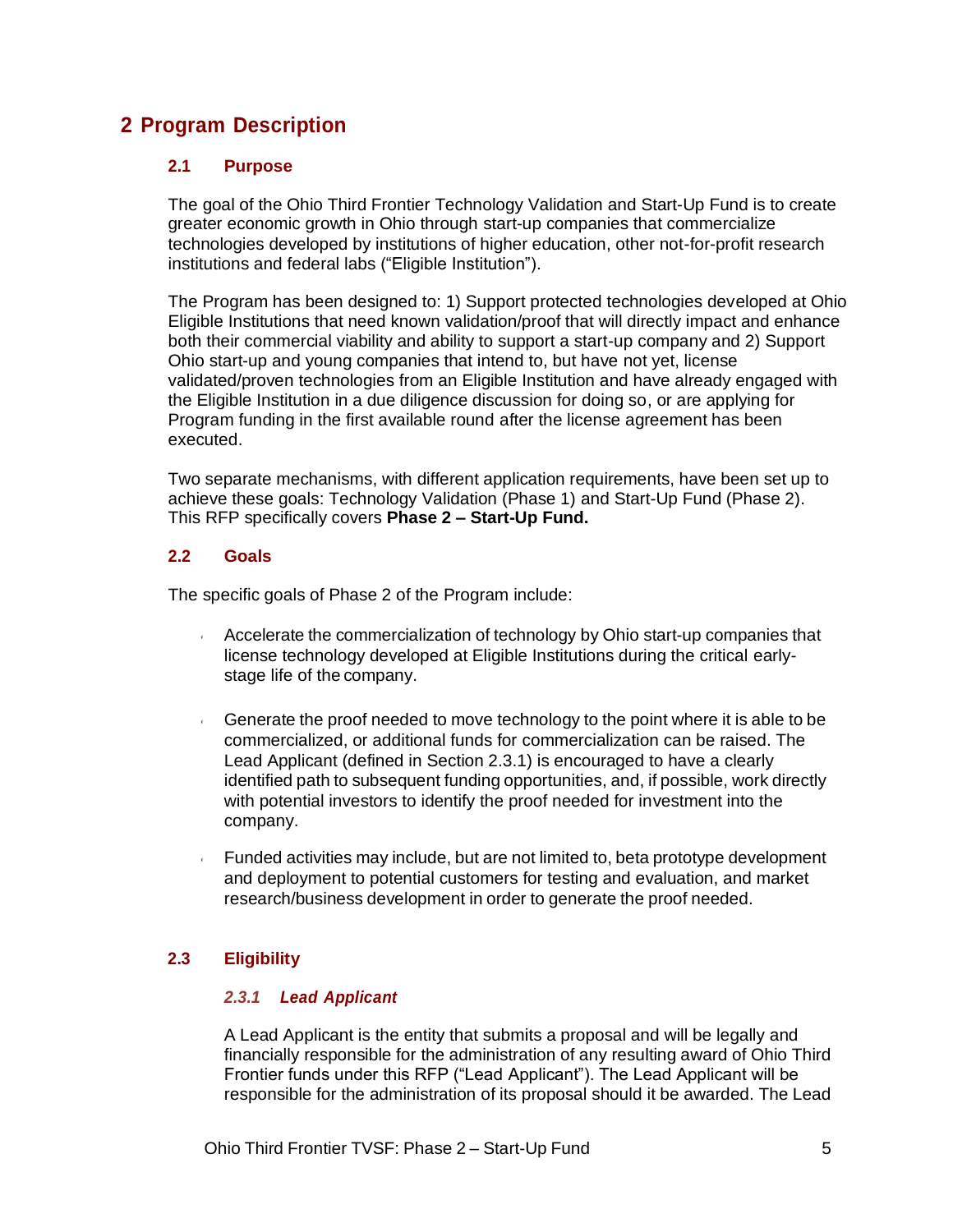# **2 Program Description**

## **2.1 Purpose**

The goal of the Ohio Third Frontier Technology Validation and Start-Up Fund is to create greater economic growth in Ohio through start-up companies that commercialize technologies developed by institutions of higher education, other not-for-profit research institutions and federal labs ("Eligible Institution").

The Program has been designed to: 1) Support protected technologies developed at Ohio Eligible Institutions that need known validation/proof that will directly impact and enhance both their commercial viability and ability to support a start-up company and 2) Support Ohio start-up and young companies that intend to, but have not yet, license validated/proven technologies from an Eligible Institution and have already engaged with the Eligible Institution in a due diligence discussion for doing so, or are applying for Program funding in the first available round after the license agreement has been executed.

Two separate mechanisms, with different application requirements, have been set up to achieve these goals: Technology Validation (Phase 1) and Start-Up Fund (Phase 2). This RFP specifically covers **Phase 2 – Start-Up Fund.** 

## **2.2 Goals**

The specific goals of Phase 2 of the Program include:

- Accelerate the commercialization of technology by Ohio start-up companies that license technology developed at Eligible Institutions during the critical earlystage life of the company.
- Generate the proof needed to move technology to the point where it is able to be commercialized, or additional funds for commercialization can be raised. The Lead Applicant (defined in Section 2.3.1) is encouraged to have a clearly identified path to subsequent funding opportunities, and, if possible, work directly with potential investors to identify the proof needed for investment into the company.
- Funded activities may include, but are not limited to, beta prototype development and deployment to potential customers for testing and evaluation, and market research/business development in order to generate the proof needed.

## **2.3 Eligibility**

## *2.3.1 Lead Applicant*

A Lead Applicant is the entity that submits a proposal and will be legally and financially responsible for the administration of any resulting award of Ohio Third Frontier funds under this RFP ("Lead Applicant"). The Lead Applicant will be responsible for the administration of its proposal should it be awarded. The Lead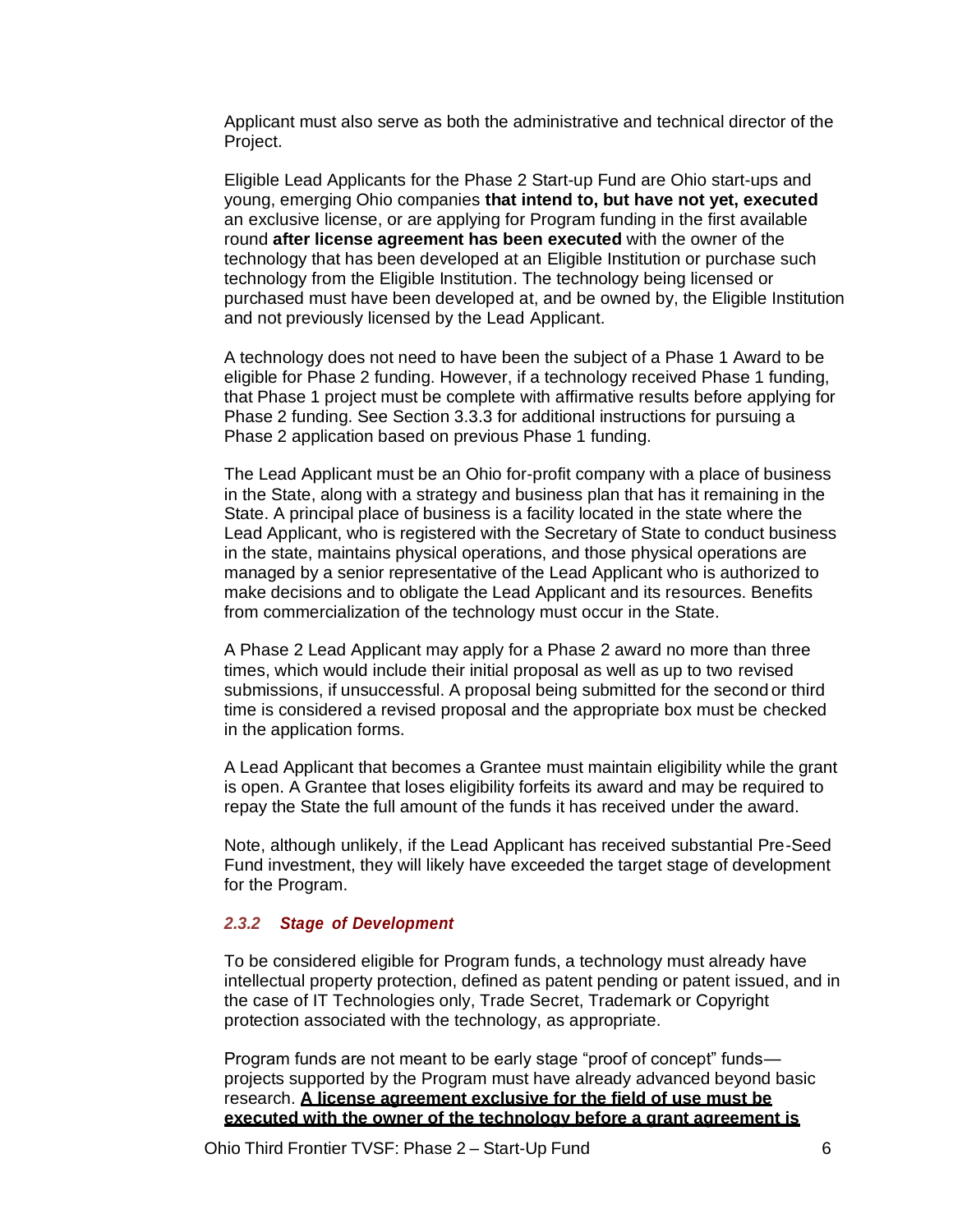Applicant must also serve as both the administrative and technical director of the Project.

Eligible Lead Applicants for the Phase 2 Start-up Fund are Ohio start-ups and young, emerging Ohio companies **that intend to, but have not yet, executed** an exclusive license, or are applying for Program funding in the first available round **after license agreement has been executed** with the owner of the technology that has been developed at an Eligible Institution or purchase such technology from the Eligible Institution. The technology being licensed or purchased must have been developed at, and be owned by, the Eligible Institution and not previously licensed by the Lead Applicant.

A technology does not need to have been the subject of a Phase 1 Award to be eligible for Phase 2 funding. However, if a technology received Phase 1 funding, that Phase 1 project must be complete with affirmative results before applying for Phase 2 funding. See Section 3.3.3 for additional instructions for pursuing a Phase 2 application based on previous Phase 1 funding.

The Lead Applicant must be an Ohio for-profit company with a place of business in the State, along with a strategy and business plan that has it remaining in the State. A principal place of business is a facility located in the state where the Lead Applicant, who is registered with the Secretary of State to conduct business in the state, maintains physical operations, and those physical operations are managed by a senior representative of the Lead Applicant who is authorized to make decisions and to obligate the Lead Applicant and its resources. Benefits from commercialization of the technology must occur in the State.

A Phase 2 Lead Applicant may apply for a Phase 2 award no more than three times, which would include their initial proposal as well as up to two revised submissions, if unsuccessful. A proposal being submitted for the second or third time is considered a revised proposal and the appropriate box must be checked in the application forms.

A Lead Applicant that becomes a Grantee must maintain eligibility while the grant is open. A Grantee that loses eligibility forfeits its award and may be required to repay the State the full amount of the funds it has received under the award.

Note, although unlikely, if the Lead Applicant has received substantial Pre-Seed Fund investment, they will likely have exceeded the target stage of development for the Program.

### *2.3.2 Stage of Development*

To be considered eligible for Program funds, a technology must already have intellectual property protection, defined as patent pending or patent issued, and in the case of IT Technologies only, Trade Secret, Trademark or Copyright protection associated with the technology, as appropriate.

Program funds are not meant to be early stage "proof of concept" funds projects supported by the Program must have already advanced beyond basic research. **A license agreement exclusive for the field of use must be executed with the owner of the technology before a grant agreement is**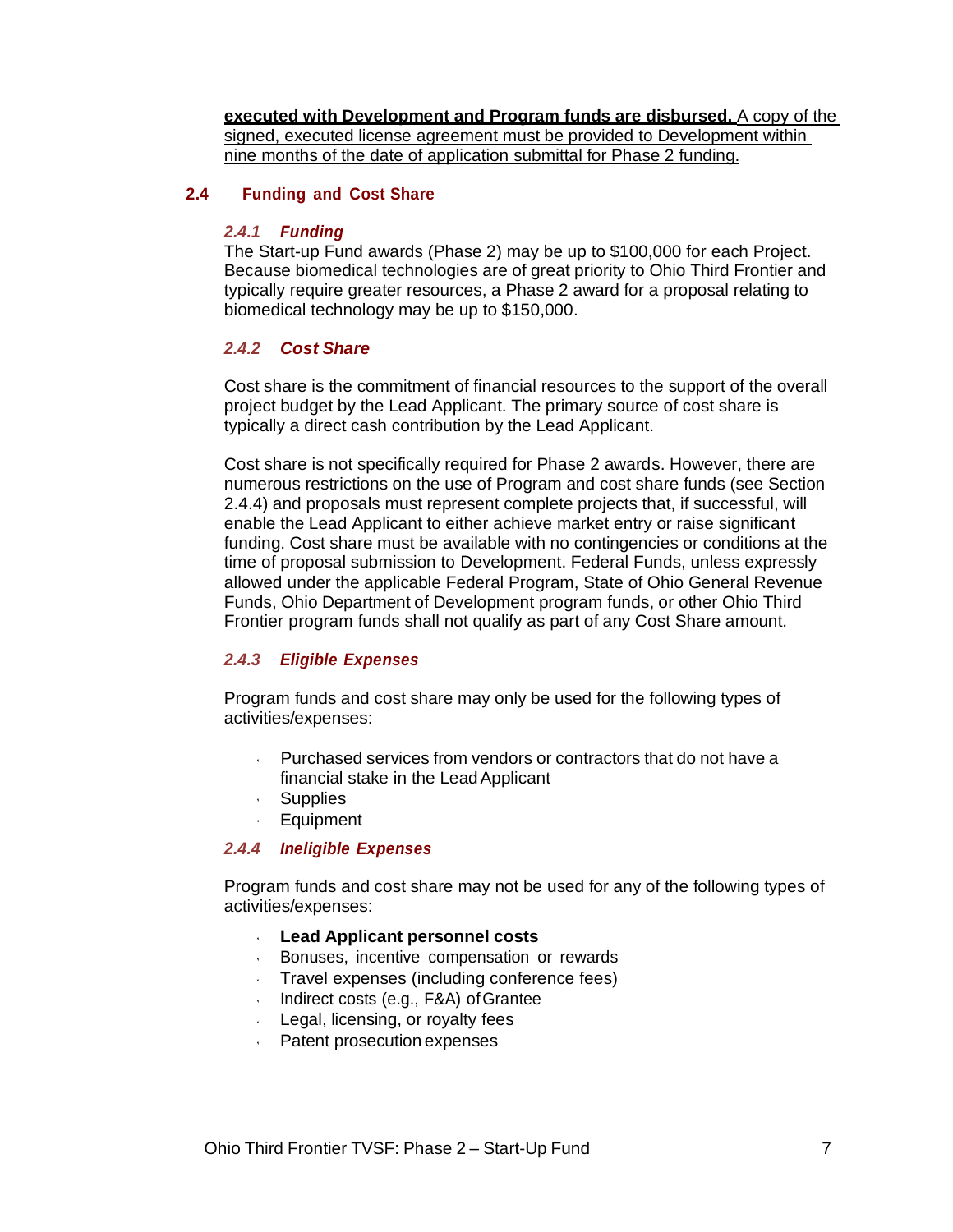**executed with Development and Program funds are disbursed.** A copy of the signed, executed license agreement must be provided to Development within nine months of the date of application submittal for Phase 2 funding.

### **2.4 Funding and Cost Share**

### *2.4.1 Funding*

The Start-up Fund awards (Phase 2) may be up to \$100,000 for each Project. Because biomedical technologies are of great priority to Ohio Third Frontier and typically require greater resources, a Phase 2 award for a proposal relating to biomedical technology may be up to \$150,000.

### *2.4.2 Cost Share*

Cost share is the commitment of financial resources to the support of the overall project budget by the Lead Applicant. The primary source of cost share is typically a direct cash contribution by the Lead Applicant.

Cost share is not specifically required for Phase 2 awards. However, there are numerous restrictions on the use of Program and cost share funds (see Section 2.4.4) and proposals must represent complete projects that, if successful, will enable the Lead Applicant to either achieve market entry or raise significant funding. Cost share must be available with no contingencies or conditions at the time of proposal submission to Development. Federal Funds, unless expressly allowed under the applicable Federal Program, State of Ohio General Revenue Funds, Ohio Department of Development program funds, or other Ohio Third Frontier program funds shall not qualify as part of any Cost Share amount.

## *2.4.3 Eligible Expenses*

Program funds and cost share may only be used for the following types of activities/expenses:

- Purchased services from vendors or contractors that do not have a financial stake in the LeadApplicant
- Supplies
- Equipment

### *2.4.4 Ineligible Expenses*

Program funds and cost share may not be used for any of the following types of activities/expenses:

- **Lead Applicant personnel costs**
- Bonuses, incentive compensation or rewards  $\epsilon$
- Travel expenses (including conference fees)  $\mathbf{q}$
- Indirect costs (e.g., F&A) of Grantee
- Legal, licensing, or royalty fees
- Patent prosecution expenses $\mathcal{L}^{\text{max}}$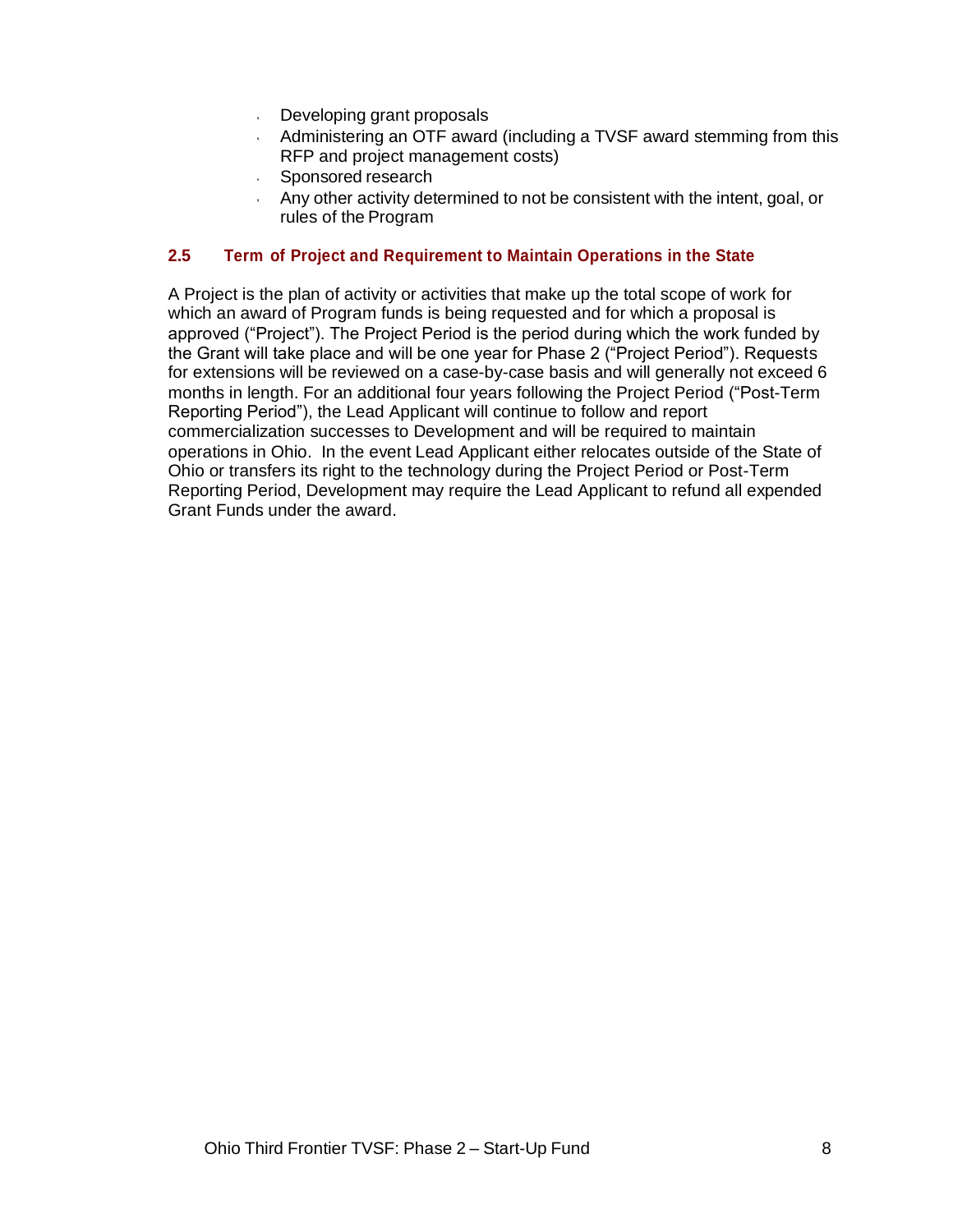- Developing grant proposals
- Administering an OTF award (including a TVSF award stemming from this RFP and project management costs)
- Sponsored research
- Any other activity determined to not be consistent with the intent, goal, or rules of the Program

### **2.5 Term of Project and Requirement to Maintain Operations in the State**

A Project is the plan of activity or activities that make up the total scope of work for which an award of Program funds is being requested and for which a proposal is approved ("Project"). The Project Period is the period during which the work funded by the Grant will take place and will be one year for Phase 2 ("Project Period"). Requests for extensions will be reviewed on a case-by-case basis and will generally not exceed 6 months in length. For an additional four years following the Project Period ("Post-Term Reporting Period"), the Lead Applicant will continue to follow and report commercialization successes to Development and will be required to maintain operations in Ohio. In the event Lead Applicant either relocates outside of the State of Ohio or transfers its right to the technology during the Project Period or Post-Term Reporting Period, Development may require the Lead Applicant to refund all expended Grant Funds under the award.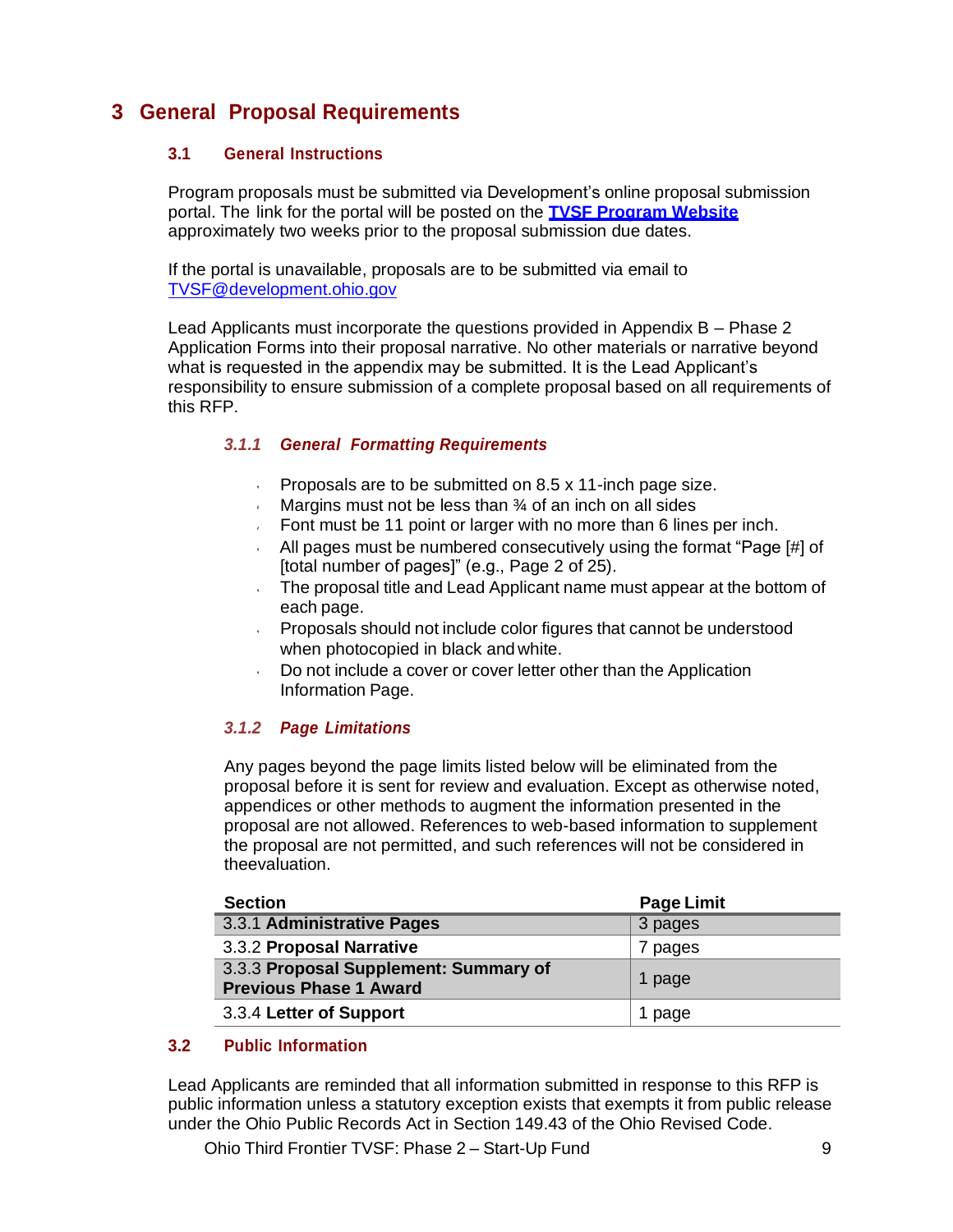# **3 General Proposal Requirements**

## **3.1 General Instructions**

Program proposals must be submitted via Development's online proposal submission portal. The link for the portal will be posted on the **TVSF Program Website** approximately two weeks prior to the proposal submission due dates.

If the portal is unavailable, proposals are to be submitted via email to [TVSF@development.ohio.gov](mailto:TVSF@development.ohio.gov)

Lead Applicants must incorporate the questions provided in Appendix B – Phase 2 Application Forms into their proposal narrative. No other materials or narrative beyond what is requested in the appendix may be submitted. It is the Lead Applicant's responsibility to ensure submission of a complete proposal based on all requirements of this RFP.

## *3.1.1 General Formatting Requirements*

- $\mathbf{v}$ Proposals are to be submitted on 8.5 x 11-inch page size.
- Margins must not be less than 34 of an inch on all sides
- Font must be 11 point or larger with no more than 6 lines per inch.
- All pages must be numbered consecutively using the format "Page [#] of [total number of pages]" (e.g., Page 2 of 25).
- The proposal title and Lead Applicant name must appear at the bottom of each page.
- Proposals should not include color figures that cannot be understood when photocopied in black andwhite.
- Do not include a cover or cover letter other than the Application Information Page.

## *3.1.2 Page Limitations*

Any pages beyond the page limits listed below will be eliminated from the proposal before it is sent for review and evaluation. Except as otherwise noted, appendices or other methods to augment the information presented in the proposal are not allowed. References to web-based information to supplement the proposal are not permitted, and such references will not be considered in theevaluation.

| <b>Section</b>                                                         | <b>Page Limit</b> |
|------------------------------------------------------------------------|-------------------|
| 3.3.1 Administrative Pages                                             | 3 pages           |
| 3.3.2 Proposal Narrative                                               | 7 pages           |
| 3.3.3 Proposal Supplement: Summary of<br><b>Previous Phase 1 Award</b> | page              |
| 3.3.4 Letter of Support                                                | page              |

## **3.2 Public Information**

Lead Applicants are reminded that all information submitted in response to this RFP is public information unless a statutory exception exists that exempts it from public release under the Ohio Public Records Act in Section 149.43 of the Ohio Revised Code.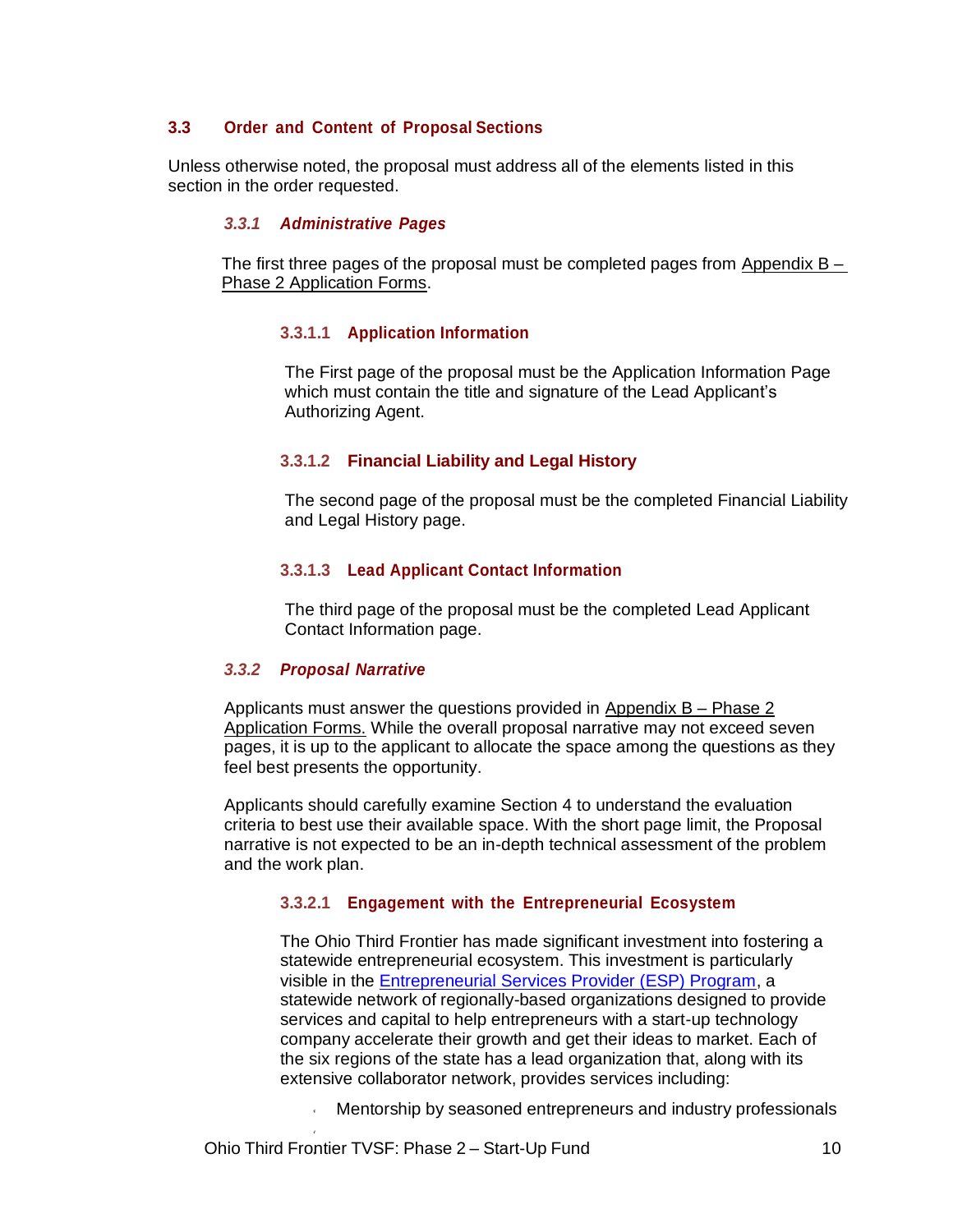## **3.3 Order and Content of Proposal Sections**

Unless otherwise noted, the proposal must address all of the elements listed in this section in the order requested.

### *3.3.1 Administrative Pages*

The first three pages of the proposal must be completed pages from Appendix  $B -$ Phase 2 Application Forms.

#### **3.3.1.1 Application Information**

The First page of the proposal must be the Application Information Page which must contain the title and signature of the Lead Applicant's Authorizing Agent.

#### **3.3.1.2 Financial Liability and Legal History**

The second page of the proposal must be the completed Financial Liability and Legal History page.

### **3.3.1.3 Lead Applicant Contact Information**

The third page of the proposal must be the completed Lead Applicant Contact Information page.

#### *3.3.2 Proposal Narrative*

Applicants must answer the questions provided in Appendix  $B - Phase 2$ Application Forms. While the overall proposal narrative may not exceed seven pages, it is up to the applicant to allocate the space among the questions as they feel best presents the opportunity.

Applicants should carefully examine Section 4 to understand the evaluation criteria to best use their available space. With the short page limit, the Proposal narrative is not expected to be an in-depth technical assessment of the problem and the work plan.

### **3.3.2.1 Engagement with the Entrepreneurial Ecosystem**

The Ohio Third Frontier has made significant investment into fostering a statewide entrepreneurial ecosystem. This investment is particularly visible in the Entrepreneurial Services Provider (ESP) Program, a statewide network of regionally-based organizations designed to provide services and capital to help entrepreneurs with a start-up technology company accelerate their growth and get their ideas to market. Each of the six regions of the state has a lead organization that, along with its extensive collaborator network, provides services including:

Mentorship by seasoned entrepreneurs and industry professionals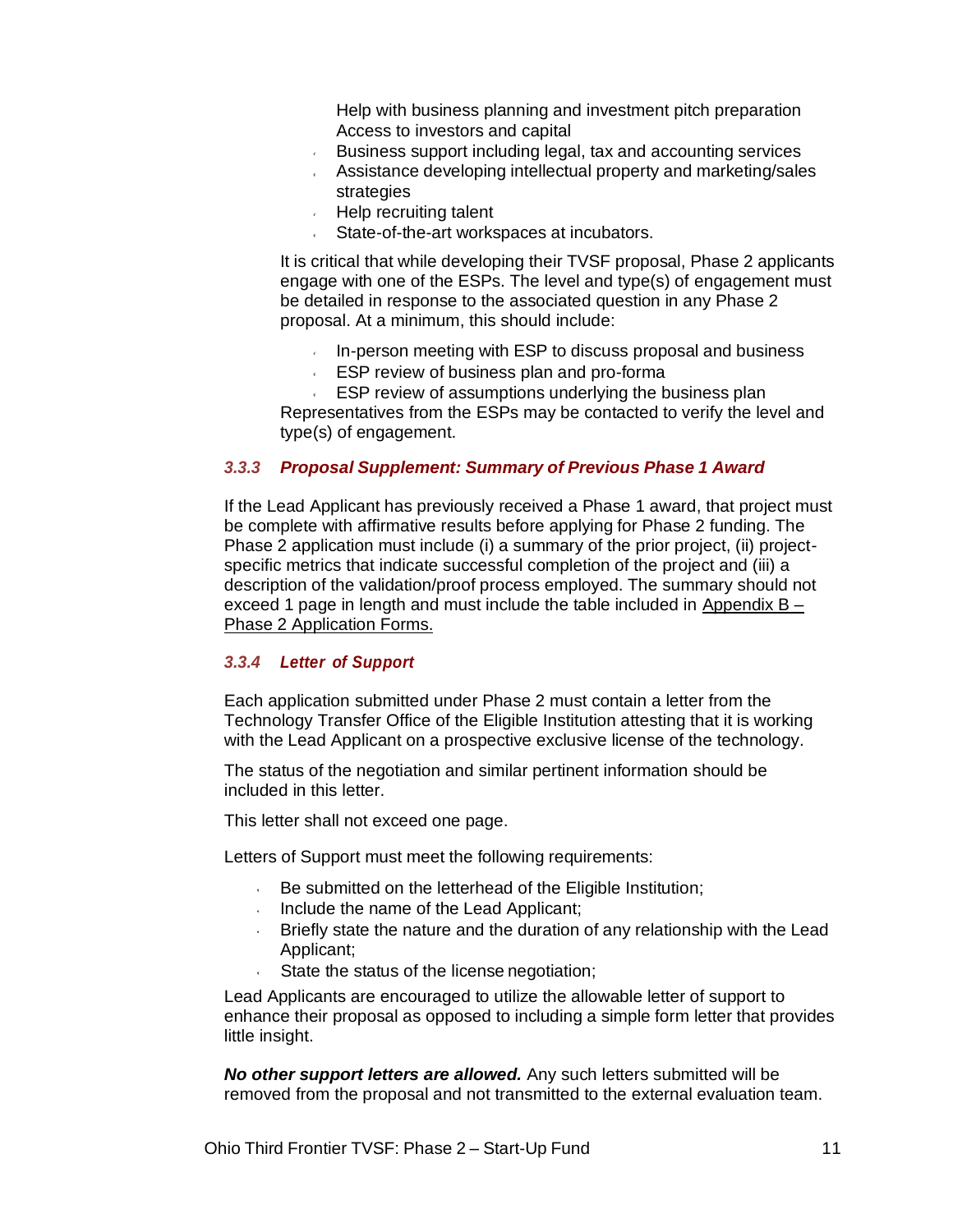Help with business planning and investment pitch preparation Access to investors and capital

- Business support including legal, tax and accounting services
- Assistance developing intellectual property and marketing/sales strategies
- Help recruiting talent
- State-of-the-art workspaces at incubators.

It is critical that while developing their TVSF proposal, Phase 2 applicants engage with one of the ESPs. The level and type(s) of engagement must be detailed in response to the associated question in any Phase 2 proposal. At a minimum, this should include:

- In-person meeting with ESP to discuss proposal and business
- ESP review of business plan and pro-forma

ESP review of assumptions underlying the business plan Representatives from the ESPs may be contacted to verify the level and type(s) of engagement.

### *3.3.3 Proposal Supplement: Summary of Previous Phase 1 Award*

If the Lead Applicant has previously received a Phase 1 award, that project must be complete with affirmative results before applying for Phase 2 funding. The Phase 2 application must include (i) a summary of the prior project, (ii) projectspecific metrics that indicate successful completion of the project and (iii) a description of the validation/proof process employed. The summary should not exceed 1 page in length and must include the table included in Appendix B – Phase 2 Application Forms.

### *3.3.4 Letter of Support*

Each application submitted under Phase 2 must contain a letter from the Technology Transfer Office of the Eligible Institution attesting that it is working with the Lead Applicant on a prospective exclusive license of the technology.

The status of the negotiation and similar pertinent information should be included in this letter.

This letter shall not exceed one page.

Letters of Support must meet the following requirements:

- $\cdot$  Be submitted on the letterhead of the Eligible Institution;
- Include the name of the Lead Applicant;
- Briefly state the nature and the duration of any relationship with the Lead Applicant;
- State the status of the license negotiation;

Lead Applicants are encouraged to utilize the allowable letter of support to enhance their proposal as opposed to including a simple form letter that provides little insight.

*No other support letters are allowed.* Any such letters submitted will be removed from the proposal and not transmitted to the external evaluation team.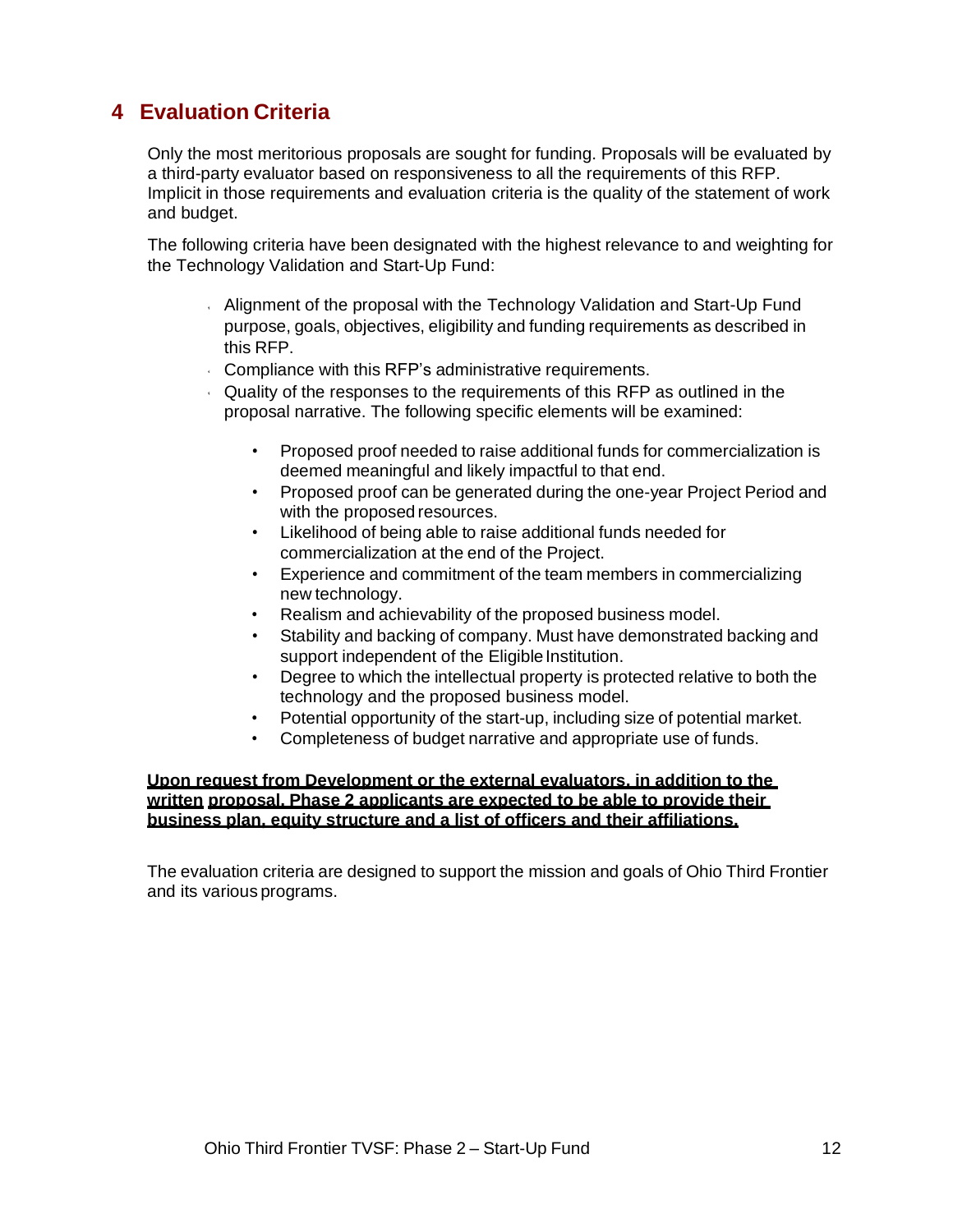# **4 Evaluation Criteria**

Only the most meritorious proposals are sought for funding. Proposals will be evaluated by a third-party evaluator based on responsiveness to all the requirements of this RFP. Implicit in those requirements and evaluation criteria is the quality of the statement of work and budget.

The following criteria have been designated with the highest relevance to and weighting for the Technology Validation and Start-Up Fund:

- Alignment of the proposal with the Technology Validation and Start-Up Fund purpose, goals, objectives, eligibility and funding requirements as described in this RFP.
- Compliance with this RFP's administrative requirements.
- Quality of the responses to the requirements of this RFP as outlined in the proposal narrative. The following specific elements will be examined:
	- Proposed proof needed to raise additional funds for commercialization is deemed meaningful and likely impactful to that end.
	- Proposed proof can be generated during the one-year Project Period and with the proposed resources.
	- Likelihood of being able to raise additional funds needed for commercialization at the end of the Project.
	- Experience and commitment of the team members in commercializing new technology.
	- Realism and achievability of the proposed business model.
	- Stability and backing of company. Must have demonstrated backing and support independent of the Eligible Institution.
	- Degree to which the intellectual property is protected relative to both the technology and the proposed business model.
	- Potential opportunity of the start-up, including size of potential market.
	- Completeness of budget narrative and appropriate use of funds.

### **Upon request from Development or the external evaluators, in addition to the written proposal, Phase 2 applicants are expected to be able to provide their business plan, equity structure and a list of officers and their affiliations.**

The evaluation criteria are designed to support the mission and goals of Ohio Third Frontier and its various programs.